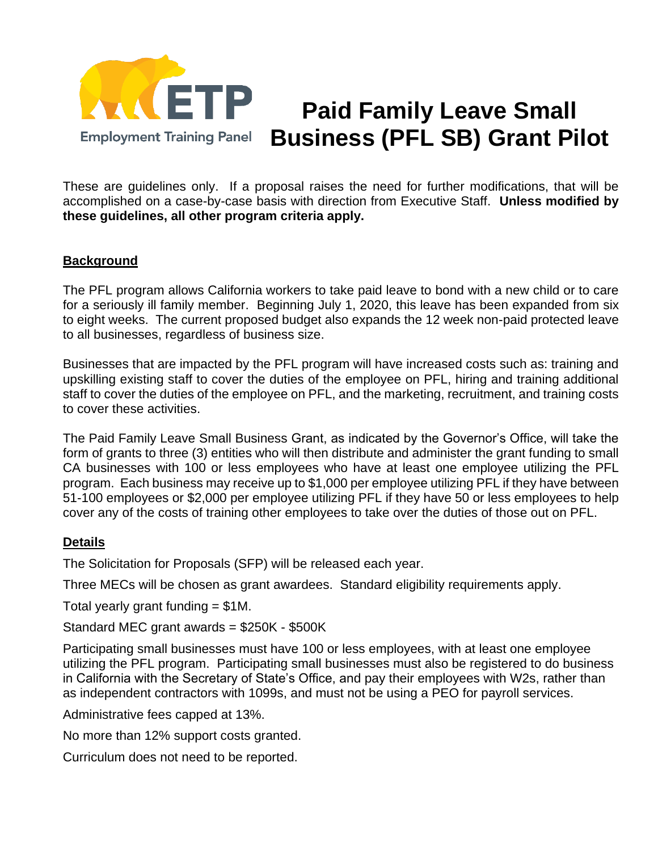

## **Paid Family Leave Small Business (PFL SB) Grant Pilot**

These are guidelines only. If a proposal raises the need for further modifications, that will be accomplished on a case-by-case basis with direction from Executive Staff. **Unless modified by these guidelines, all other program criteria apply.**

## **Background**

The PFL program allows California workers to take paid leave to bond with a new child or to care for a seriously ill family member. Beginning July 1, 2020, this leave has been expanded from six to eight weeks. The current proposed budget also expands the 12 week non-paid protected leave to all businesses, regardless of business size.

Businesses that are impacted by the PFL program will have increased costs such as: training and upskilling existing staff to cover the duties of the employee on PFL, hiring and training additional staff to cover the duties of the employee on PFL, and the marketing, recruitment, and training costs to cover these activities.

The Paid Family Leave Small Business Grant, as indicated by the Governor's Office, will take the form of grants to three (3) entities who will then distribute and administer the grant funding to small CA businesses with 100 or less employees who have at least one employee utilizing the PFL program. Each business may receive up to \$1,000 per employee utilizing PFL if they have between 51-100 employees or \$2,000 per employee utilizing PFL if they have 50 or less employees to help cover any of the costs of training other employees to take over the duties of those out on PFL.

## **Details**

The Solicitation for Proposals (SFP) will be released each year.

Three MECs will be chosen as grant awardees. Standard eligibility requirements apply.

Total yearly grant funding = \$1M.

Standard MEC grant awards = \$250K - \$500K

Participating small businesses must have 100 or less employees, with at least one employee utilizing the PFL program. Participating small businesses must also be registered to do business in California with the Secretary of State's Office, and pay their employees with W2s, rather than as independent contractors with 1099s, and must not be using a PEO for payroll services.

Administrative fees capped at 13%.

No more than 12% support costs granted.

Curriculum does not need to be reported.